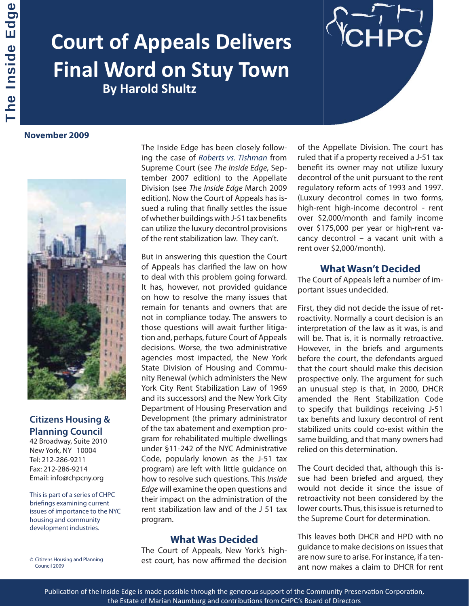# **Court of Appeals Delivers Final Word on Stuy Town By Harold Shultz**

**November 2009**



# **Citizens Housing &**

**Planning Council** 42 Broadway, Suite 2010 New York, NY 10004 Tel: 212-286-9211 Fax: 212-286-9214 Email: info@chpcny.org

This is part of a series of CHPC briefings examining current issues of importance to the NYC housing and community development industries.

© Citizens Housing and Planning Council 2009

The Inside Edge has been closely following the case of Roberts vs. Tishman from Supreme Court (see The Inside Edge, September 2007 edition) to the Appellate Division (see The Inside Edge March 2009 edition). Now the Court of Appeals has issued a ruling that finally settles the issue of whether buildings with J-51 tax benefits can utilize the luxury decontrol provisions of the rent stabilization law. They can't.

But in answering this question the Court of Appeals has clarified the law on how to deal with this problem going forward. It has, however, not provided guidance on how to resolve the many issues that remain for tenants and owners that are not in compliance today. The answers to those questions will await further litigation and, perhaps, future Court of Appeals decisions. Worse, the two administrative agencies most impacted, the New York State Division of Housing and Community Renewal (which administers the New York City Rent Stabilization Law of 1969 and its successors) and the New York City Department of Housing Preservation and Development (the primary administrator of the tax abatement and exemption program for rehabilitated multiple dwellings under §11-242 of the NYC Administrative Code, popularly known as the J-51 tax program) are left with little guidance on how to resolve such questions. This Inside Edge will examine the open questions and their impact on the administration of the rent stabilization law and of the J 51 tax program.

### **What Was Decided**

The Court of Appeals, New York's highest court, has now affirmed the decision of the Appellate Division. The court has ruled that if a property received a J-51 tax benefit its owner may not utilize luxury decontrol of the unit pursuant to the rent regulatory reform acts of 1993 and 1997. (Luxury decontrol comes in two forms, high-rent high-income decontrol - rent over \$2,000/month and family income over \$175,000 per year or high-rent vacancy decontrol – a vacant unit with a rent over \$2,000/month).

## **What Wasn't Decided**

The Court of Appeals left a number of important issues undecided.

First, they did not decide the issue of retroactivity. Normally a court decision is an interpretation of the law as it was, is and will be. That is, it is normally retroactive. However, in the briefs and arguments before the court, the defendants argued that the court should make this decision prospective only. The argument for such an unusual step is that, in 2000, DHCR amended the Rent Stabilization Code to specify that buildings receiving J-51 tax benefits and luxury decontrol of rent stabilized units could co-exist within the same building, and that many owners had relied on this determination.

The Court decided that, although this issue had been briefed and argued, they would not decide it since the issue of retroactivity not been considered by the lower courts. Thus, this issue is returned to the Supreme Court for determination.

This leaves both DHCR and HPD with no guidance to make decisions on issues that are now sure to arise. For instance, if a tenant now makes a claim to DHCR for rent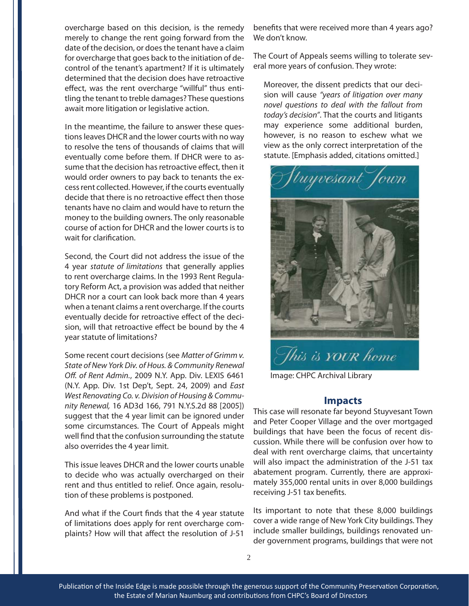overcharge based on this decision, is the remedy merely to change the rent going forward from the date of the decision, or does the tenant have a claim for overcharge that goes back to the initiation of decontrol of the tenant's apartment? If it is ultimately determined that the decision does have retroactive effect, was the rent overcharge "willful" thus entitling the tenant to treble damages? These questions await more litigation or legislative action.

In the meantime, the failure to answer these questions leaves DHCR and the lower courts with no way to resolve the tens of thousands of claims that will eventually come before them. If DHCR were to assume that the decision has retroactive effect, then it would order owners to pay back to tenants the excess rent collected. However, if the courts eventually decide that there is no retroactive effect then those tenants have no claim and would have to return the money to the building owners. The only reasonable course of action for DHCR and the lower courts is to wait for clarification.

Second, the Court did not address the issue of the 4 year statute of limitations that generally applies to rent overcharge claims. In the 1993 Rent Regulatory Reform Act, a provision was added that neither DHCR nor a court can look back more than 4 years when a tenant claims a rent overcharge. If the courts eventually decide for retroactive effect of the decision, will that retroactive effect be bound by the 4 year statute of limitations?

Some recent court decisions (see Matter of Grimm v. State of New York Div. of Hous. & Community Renewal Off. of Rent Admin., 2009 N.Y. App. Div. LEXIS 6461 (N.Y. App. Div. 1st Dep't, Sept. 24, 2009) and East West Renovating Co. v. Division of Housing & Community Renewal, 16 AD3d 166, 791 N.Y.S.2d 88 [2005]) suggest that the 4 year limit can be ignored under some circumstances. The Court of Appeals might well find that the confusion surrounding the statute also overrides the 4 year limit.

This issue leaves DHCR and the lower courts unable to decide who was actually overcharged on their rent and thus entitled to relief. Once again, resolution of these problems is postponed.

And what if the Court finds that the 4 year statute of limitations does apply for rent overcharge complaints? How will that affect the resolution of J-51 benefits that were received more than 4 years ago? We don't know.

The Court of Appeals seems willing to tolerate several more years of confusion. They wrote:

Moreover, the dissent predicts that our decision will cause "years of litigation over many novel questions to deal with the fallout from today's decision". That the courts and litigants may experience some additional burden, however, is no reason to eschew what we view as the only correct interpretation of the statute. [Emphasis added, citations omitted.]



Image: CHPC Archival Library

#### **Impacts**

This case will resonate far beyond Stuyvesant Town and Peter Cooper Village and the over mortgaged buildings that have been the focus of recent discussion. While there will be confusion over how to deal with rent overcharge claims, that uncertainty will also impact the administration of the J-51 tax abatement program. Currently, there are approximately 355,000 rental units in over 8,000 buildings receiving J-51 tax benefits.

Its important to note that these 8,000 buildings cover a wide range of New York City buildings. They include smaller buildings, buildings renovated under government programs, buildings that were not